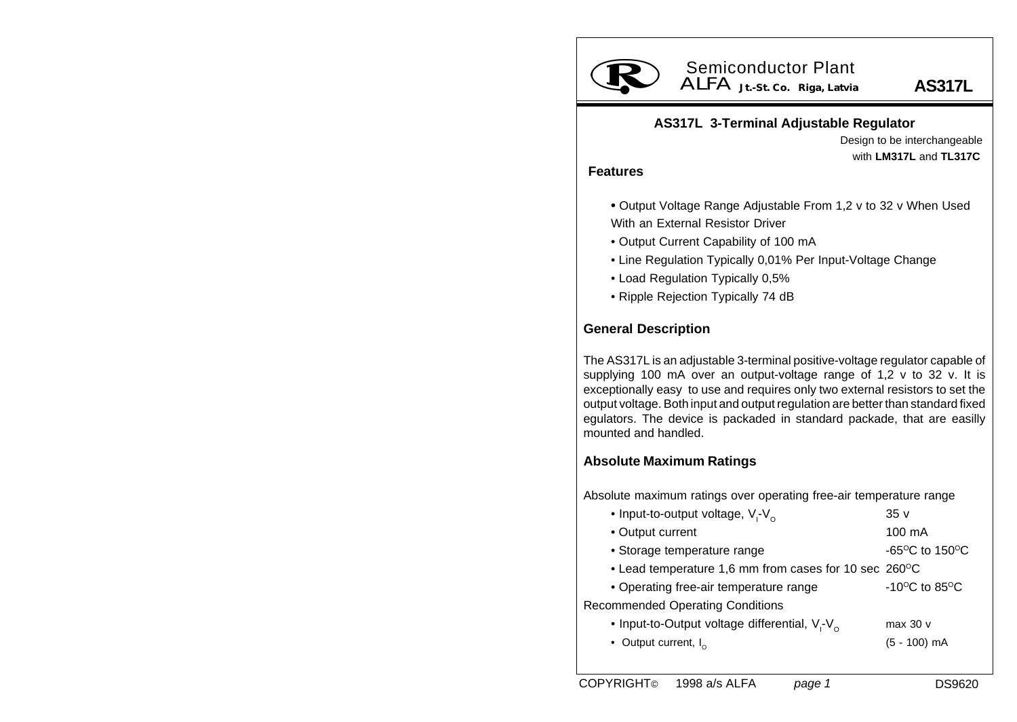

# ALFA **Jt.-St. Co. Riga, Latvia** Semiconductor Plant

**AS317L**

### **AS317L 3-Terminal Adjustable Regulator**

Design to be interchangeable with **LM317L** and **TL317C**

#### **Features**

- **•** Output Voltage Range Adjustable From 1,2 v to 32 v When Used With an External Resistor Driver
- Output Current Capability of 100 mA
- Line Regulation Typically 0,01% Per Input-Voltage Change
- Load Regulation Typically 0,5%
- Ripple Rejection Typically 74 dB

## **General Description**

The AS317L is an adjustable 3-terminal positive-voltage regulator capable of supplying 100 mA over an output-voltage range of 1,2 v to 32 v. It is exceptionally easy to use and requires only two external resistors to set the output voltage. Both input and output regulation are better than standard fixed egulators. The device is packaded in standard packade, that are easilly mounted and handled.

### **Absolute Maximum Ratings**

Absolute maximum ratings over operating free-air temperature range

| • Input-to-output voltage, $V_f - V_o$                | 35v                                                  |
|-------------------------------------------------------|------------------------------------------------------|
| • Output current                                      | 100 mA                                               |
| • Storage temperature range                           | -65 $\mathrm{^{\circ}C}$ to 150 $\mathrm{^{\circ}C}$ |
| • Lead temperature 1,6 mm from cases for 10 sec 260°C |                                                      |
| • Operating free-air temperature range                | -10 $\mathrm{^{\circ}C}$ to 85 $\mathrm{^{\circ}C}$  |
| <b>Recommended Operating Conditions</b>               |                                                      |
| • Input-to-Output voltage differential, $V - V_0$     | max 30 v                                             |
| • Output current, $I_{\alpha}$                        | $(5 - 100)$ mA                                       |
|                                                       |                                                      |